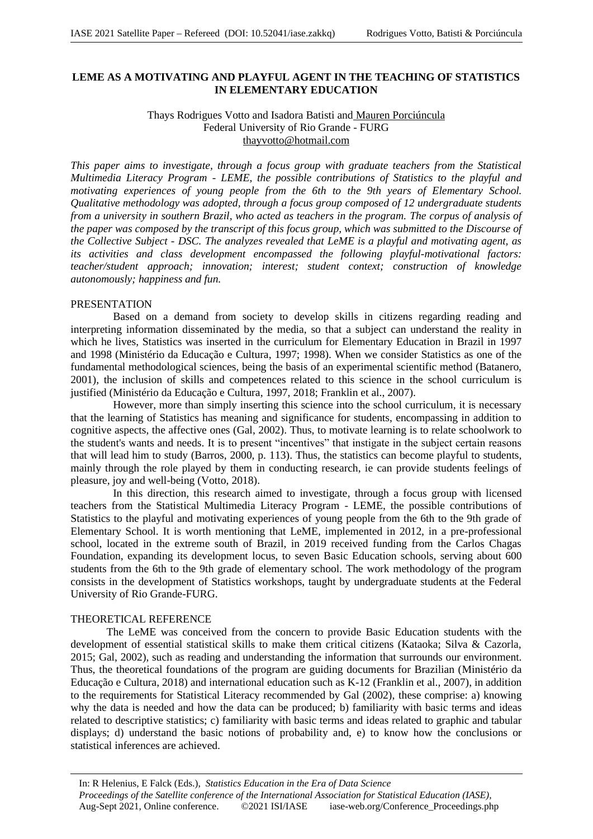# **LEME AS A MOTIVATING AND PLAYFUL AGENT IN THE TEACHING OF STATISTICS IN ELEMENTARY EDUCATION**

# Thays Rodrigues Votto and Isadora Batisti and Mauren Porciúncula Federal University of Rio Grande - FURG thayvotto@hotmail.com

*This paper aims to investigate, through a focus group with graduate teachers from the Statistical Multimedia Literacy Program - LEME, the possible contributions of Statistics to the playful and motivating experiences of young people from the 6th to the 9th years of Elementary School. Qualitative methodology was adopted, through a focus group composed of 12 undergraduate students from a university in southern Brazil, who acted as teachers in the program. The corpus of analysis of the paper was composed by the transcript of this focus group, which was submitted to the Discourse of the Collective Subject - DSC. The analyzes revealed that LeME is a playful and motivating agent, as its activities and class development encompassed the following playful-motivational factors: teacher/student approach; innovation; interest; student context; construction of knowledge autonomously; happiness and fun.*

## PRESENTATION

Based on a demand from society to develop skills in citizens regarding reading and interpreting information disseminated by the media, so that a subject can understand the reality in which he lives, Statistics was inserted in the curriculum for Elementary Education in Brazil in 1997 and 1998 (Ministério da Educação e Cultura, 1997; 1998). When we consider Statistics as one of the fundamental methodological sciences, being the basis of an experimental scientific method (Batanero, 2001), the inclusion of skills and competences related to this science in the school curriculum is justified (Ministério da Educação e Cultura, 1997, 2018; Franklin et al., 2007).

However, more than simply inserting this science into the school curriculum, it is necessary that the learning of Statistics has meaning and significance for students, encompassing in addition to cognitive aspects, the affective ones (Gal, 2002). Thus, to motivate learning is to relate schoolwork to the student's wants and needs. It is to present "incentives" that instigate in the subject certain reasons that will lead him to study (Barros, 2000, p. 113). Thus, the statistics can become playful to students, mainly through the role played by them in conducting research, ie can provide students feelings of pleasure, joy and well-being (Votto, 2018).

In this direction, this research aimed to investigate, through a focus group with licensed teachers from the Statistical Multimedia Literacy Program - LEME, the possible contributions of Statistics to the playful and motivating experiences of young people from the 6th to the 9th grade of Elementary School. It is worth mentioning that LeME, implemented in 2012, in a pre-professional school, located in the extreme south of Brazil, in 2019 received funding from the Carlos Chagas Foundation, expanding its development locus, to seven Basic Education schools, serving about 600 students from the 6th to the 9th grade of elementary school. The work methodology of the program consists in the development of Statistics workshops, taught by undergraduate students at the Federal University of Rio Grande-FURG.

# THEORETICAL REFERENCE

The LeME was conceived from the concern to provide Basic Education students with the development of essential statistical skills to make them critical citizens (Kataoka; Silva & Cazorla, 2015; Gal, 2002), such as reading and understanding the information that surrounds our environment. Thus, the theoretical foundations of the program are guiding documents for Brazilian (Ministério da Educação e Cultura, 2018) and international education such as K-12 (Franklin et al., 2007), in addition to the requirements for Statistical Literacy recommended by Gal (2002), these comprise: a) knowing why the data is needed and how the data can be produced; b) familiarity with basic terms and ideas related to descriptive statistics; c) familiarity with basic terms and ideas related to graphic and tabular displays; d) understand the basic notions of probability and, e) to know how the conclusions or statistical inferences are achieved.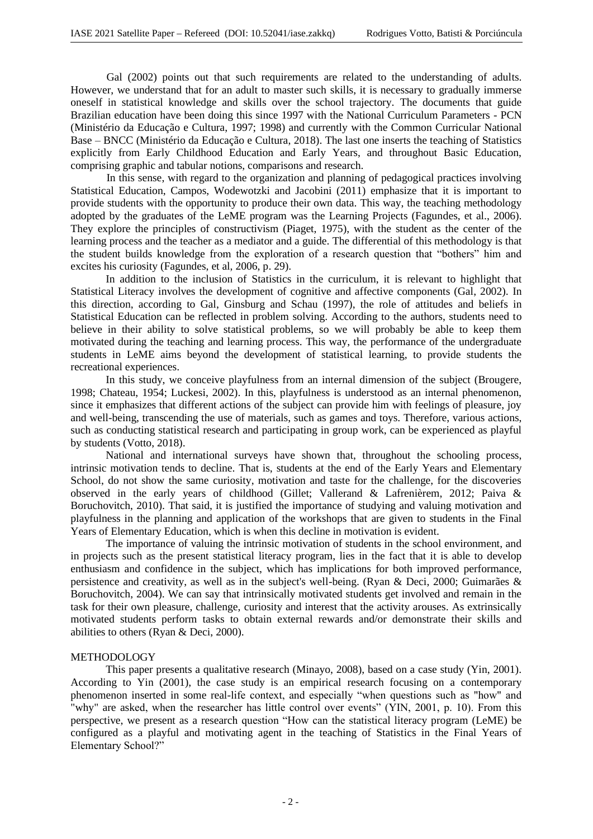Gal (2002) points out that such requirements are related to the understanding of adults. However, we understand that for an adult to master such skills, it is necessary to gradually immerse oneself in statistical knowledge and skills over the school trajectory. The documents that guide Brazilian education have been doing this since 1997 with the National Curriculum Parameters - PCN (Ministério da Educação e Cultura, 1997; 1998) and currently with the Common Curricular National Base – BNCC (Ministério da Educação e Cultura, 2018). The last one inserts the teaching of Statistics explicitly from Early Childhood Education and Early Years, and throughout Basic Education, comprising graphic and tabular notions, comparisons and research.

In this sense, with regard to the organization and planning of pedagogical practices involving Statistical Education, Campos, Wodewotzki and Jacobini (2011) emphasize that it is important to provide students with the opportunity to produce their own data. This way, the teaching methodology adopted by the graduates of the LeME program was the Learning Projects (Fagundes, et al., 2006). They explore the principles of constructivism (Piaget, 1975), with the student as the center of the learning process and the teacher as a mediator and a guide. The differential of this methodology is that the student builds knowledge from the exploration of a research question that "bothers" him and excites his curiosity (Fagundes, et al, 2006, p. 29).

In addition to the inclusion of Statistics in the curriculum, it is relevant to highlight that Statistical Literacy involves the development of cognitive and affective components (Gal, 2002). In this direction, according to Gal, Ginsburg and Schau (1997), the role of attitudes and beliefs in Statistical Education can be reflected in problem solving. According to the authors, students need to believe in their ability to solve statistical problems, so we will probably be able to keep them motivated during the teaching and learning process. This way, the performance of the undergraduate students in LeME aims beyond the development of statistical learning, to provide students the recreational experiences.

In this study, we conceive playfulness from an internal dimension of the subject (Brougere, 1998; Chateau, 1954; Luckesi, 2002). In this, playfulness is understood as an internal phenomenon, since it emphasizes that different actions of the subject can provide him with feelings of pleasure, joy and well-being, transcending the use of materials, such as games and toys. Therefore, various actions, such as conducting statistical research and participating in group work, can be experienced as playful by students (Votto, 2018).

National and international surveys have shown that, throughout the schooling process, intrinsic motivation tends to decline. That is, students at the end of the Early Years and Elementary School, do not show the same curiosity, motivation and taste for the challenge, for the discoveries observed in the early years of childhood (Gillet; Vallerand & Lafrenièrem, 2012; Paiva & Boruchovitch, 2010). That said, it is justified the importance of studying and valuing motivation and playfulness in the planning and application of the workshops that are given to students in the Final Years of Elementary Education, which is when this decline in motivation is evident.

The importance of valuing the intrinsic motivation of students in the school environment, and in projects such as the present statistical literacy program, lies in the fact that it is able to develop enthusiasm and confidence in the subject, which has implications for both improved performance, persistence and creativity, as well as in the subject's well-being. (Ryan & Deci, 2000; Guimarães & Boruchovitch, 2004). We can say that intrinsically motivated students get involved and remain in the task for their own pleasure, challenge, curiosity and interest that the activity arouses. As extrinsically motivated students perform tasks to obtain external rewards and/or demonstrate their skills and abilities to others (Ryan & Deci, 2000).

#### METHODOLOGY

This paper presents a qualitative research (Minayo, 2008), based on a case study (Yin, 2001). According to Yin (2001), the case study is an empirical research focusing on a contemporary phenomenon inserted in some real-life context, and especially "when questions such as "how" and "why" are asked, when the researcher has little control over events" (YIN, 2001, p. 10). From this perspective, we present as a research question "How can the statistical literacy program (LeME) be configured as a playful and motivating agent in the teaching of Statistics in the Final Years of Elementary School?"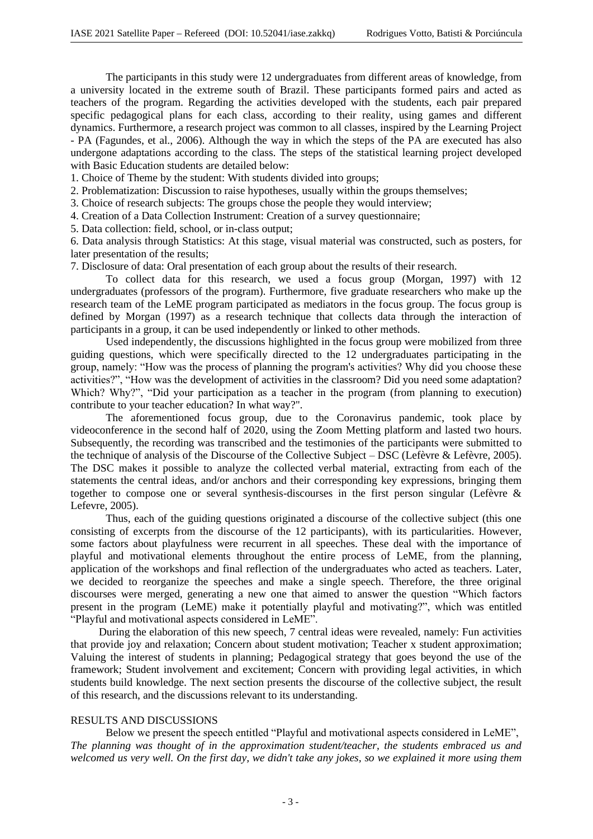The participants in this study were 12 undergraduates from different areas of knowledge, from a university located in the extreme south of Brazil. These participants formed pairs and acted as teachers of the program. Regarding the activities developed with the students, each pair prepared specific pedagogical plans for each class, according to their reality, using games and different dynamics. Furthermore, a research project was common to all classes, inspired by the Learning Project - PA (Fagundes, et al., 2006). Although the way in which the steps of the PA are executed has also undergone adaptations according to the class. The steps of the statistical learning project developed with Basic Education students are detailed below:

1. Choice of Theme by the student: With students divided into groups;

2. Problematization: Discussion to raise hypotheses, usually within the groups themselves;

3. Choice of research subjects: The groups chose the people they would interview;

4. Creation of a Data Collection Instrument: Creation of a survey questionnaire;

5. Data collection: field, school, or in-class output;

6. Data analysis through Statistics: At this stage, visual material was constructed, such as posters, for later presentation of the results;

7. Disclosure of data: Oral presentation of each group about the results of their research.

To collect data for this research, we used a focus group (Morgan, 1997) with 12 undergraduates (professors of the program). Furthermore, five graduate researchers who make up the research team of the LeME program participated as mediators in the focus group. The focus group is defined by Morgan (1997) as a research technique that collects data through the interaction of participants in a group, it can be used independently or linked to other methods.

Used independently, the discussions highlighted in the focus group were mobilized from three guiding questions, which were specifically directed to the 12 undergraduates participating in the group, namely: "How was the process of planning the program's activities? Why did you choose these activities?", "How was the development of activities in the classroom? Did you need some adaptation? Which? Why?", "Did your participation as a teacher in the program (from planning to execution) contribute to your teacher education? In what way?".

The aforementioned focus group, due to the Coronavirus pandemic, took place by videoconference in the second half of 2020, using the Zoom Metting platform and lasted two hours. Subsequently, the recording was transcribed and the testimonies of the participants were submitted to the technique of analysis of the Discourse of the Collective Subject – DSC (Lefèvre & Lefèvre, 2005). The DSC makes it possible to analyze the collected verbal material, extracting from each of the statements the central ideas, and/or anchors and their corresponding key expressions, bringing them together to compose one or several synthesis-discourses in the first person singular (Lefèvre & Lefevre, 2005).

Thus, each of the guiding questions originated a discourse of the collective subject (this one consisting of excerpts from the discourse of the 12 participants), with its particularities. However, some factors about playfulness were recurrent in all speeches. These deal with the importance of playful and motivational elements throughout the entire process of LeME, from the planning, application of the workshops and final reflection of the undergraduates who acted as teachers. Later, we decided to reorganize the speeches and make a single speech. Therefore, the three original discourses were merged, generating a new one that aimed to answer the question "Which factors present in the program (LeME) make it potentially playful and motivating?", which was entitled "Playful and motivational aspects considered in LeME".

During the elaboration of this new speech, 7 central ideas were revealed, namely: Fun activities that provide joy and relaxation; Concern about student motivation; Teacher x student approximation; Valuing the interest of students in planning; Pedagogical strategy that goes beyond the use of the framework; Student involvement and excitement; Concern with providing legal activities, in which students build knowledge. The next section presents the discourse of the collective subject, the result of this research, and the discussions relevant to its understanding.

## RESULTS AND DISCUSSIONS

Below we present the speech entitled "Playful and motivational aspects considered in LeME", *The planning was thought of in the approximation student/teacher, the students embraced us and welcomed us very well. On the first day, we didn't take any jokes, so we explained it more using them*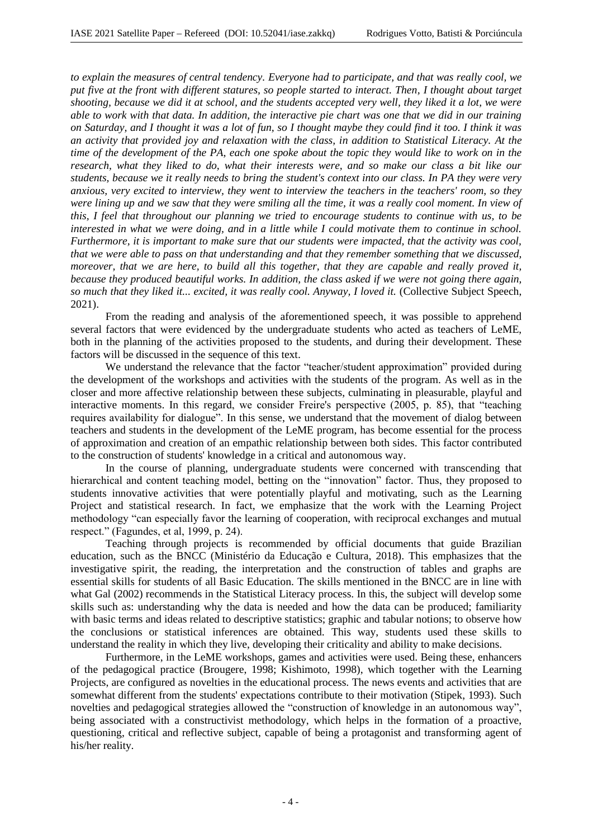*to explain the measures of central tendency. Everyone had to participate, and that was really cool, we put five at the front with different statures, so people started to interact. Then, I thought about target shooting, because we did it at school, and the students accepted very well, they liked it a lot, we were able to work with that data. In addition, the interactive pie chart was one that we did in our training on Saturday, and I thought it was a lot of fun, so I thought maybe they could find it too. I think it was an activity that provided joy and relaxation with the class, in addition to Statistical Literacy. At the time of the development of the PA, each one spoke about the topic they would like to work on in the research, what they liked to do, what their interests were, and so make our class a bit like our students, because we it really needs to bring the student's context into our class. In PA they were very anxious, very excited to interview, they went to interview the teachers in the teachers' room, so they were lining up and we saw that they were smiling all the time, it was a really cool moment. In view of this, I feel that throughout our planning we tried to encourage students to continue with us, to be interested in what we were doing, and in a little while I could motivate them to continue in school. Furthermore, it is important to make sure that our students were impacted, that the activity was cool, that we were able to pass on that understanding and that they remember something that we discussed, moreover, that we are here, to build all this together, that they are capable and really proved it, because they produced beautiful works. In addition, the class asked if we were not going there again, so much that they liked it... excited, it was really cool. Anyway, I loved it.* (Collective Subject Speech, 2021).

From the reading and analysis of the aforementioned speech, it was possible to apprehend several factors that were evidenced by the undergraduate students who acted as teachers of LeME, both in the planning of the activities proposed to the students, and during their development. These factors will be discussed in the sequence of this text.

We understand the relevance that the factor "teacher/student approximation" provided during the development of the workshops and activities with the students of the program. As well as in the closer and more affective relationship between these subjects, culminating in pleasurable, playful and interactive moments. In this regard, we consider Freire's perspective (2005, p. 85), that "teaching requires availability for dialogue". In this sense, we understand that the movement of dialog between teachers and students in the development of the LeME program, has become essential for the process of approximation and creation of an empathic relationship between both sides. This factor contributed to the construction of students' knowledge in a critical and autonomous way.

In the course of planning, undergraduate students were concerned with transcending that hierarchical and content teaching model, betting on the "innovation" factor. Thus, they proposed to students innovative activities that were potentially playful and motivating, such as the Learning Project and statistical research. In fact, we emphasize that the work with the Learning Project methodology "can especially favor the learning of cooperation, with reciprocal exchanges and mutual respect." (Fagundes, et al, 1999, p. 24).

Teaching through projects is recommended by official documents that guide Brazilian education, such as the BNCC (Ministério da Educação e Cultura, 2018). This emphasizes that the investigative spirit, the reading, the interpretation and the construction of tables and graphs are essential skills for students of all Basic Education. The skills mentioned in the BNCC are in line with what Gal (2002) recommends in the Statistical Literacy process. In this, the subject will develop some skills such as: understanding why the data is needed and how the data can be produced; familiarity with basic terms and ideas related to descriptive statistics; graphic and tabular notions; to observe how the conclusions or statistical inferences are obtained. This way, students used these skills to understand the reality in which they live, developing their criticality and ability to make decisions.

Furthermore, in the LeME workshops, games and activities were used. Being these, enhancers of the pedagogical practice (Brougere, 1998; Kishimoto, 1998), which together with the Learning Projects, are configured as novelties in the educational process. The news events and activities that are somewhat different from the students' expectations contribute to their motivation (Stipek, 1993). Such novelties and pedagogical strategies allowed the "construction of knowledge in an autonomous way", being associated with a constructivist methodology, which helps in the formation of a proactive, questioning, critical and reflective subject, capable of being a protagonist and transforming agent of his/her reality.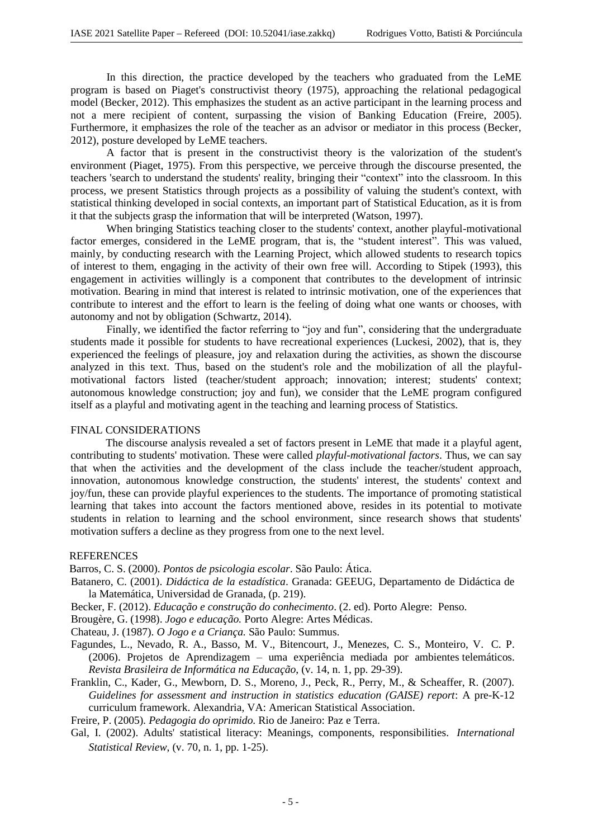In this direction, the practice developed by the teachers who graduated from the LeME program is based on Piaget's constructivist theory (1975), approaching the relational pedagogical model (Becker, 2012). This emphasizes the student as an active participant in the learning process and not a mere recipient of content, surpassing the vision of Banking Education (Freire, 2005). Furthermore, it emphasizes the role of the teacher as an advisor or mediator in this process (Becker, 2012), posture developed by LeME teachers.

A factor that is present in the constructivist theory is the valorization of the student's environment (Piaget, 1975). From this perspective, we perceive through the discourse presented, the teachers 'search to understand the students' reality, bringing their "context" into the classroom. In this process, we present Statistics through projects as a possibility of valuing the student's context, with statistical thinking developed in social contexts, an important part of Statistical Education, as it is from it that the subjects grasp the information that will be interpreted (Watson, 1997).

When bringing Statistics teaching closer to the students' context, another playful-motivational factor emerges, considered in the LeME program, that is, the "student interest". This was valued, mainly, by conducting research with the Learning Project, which allowed students to research topics of interest to them, engaging in the activity of their own free will. According to Stipek (1993), this engagement in activities willingly is a component that contributes to the development of intrinsic motivation. Bearing in mind that interest is related to intrinsic motivation, one of the experiences that contribute to interest and the effort to learn is the feeling of doing what one wants or chooses, with autonomy and not by obligation (Schwartz, 2014).

Finally, we identified the factor referring to "joy and fun", considering that the undergraduate students made it possible for students to have recreational experiences (Luckesi, 2002), that is, they experienced the feelings of pleasure, joy and relaxation during the activities, as shown the discourse analyzed in this text. Thus, based on the student's role and the mobilization of all the playfulmotivational factors listed (teacher/student approach; innovation; interest; students' context; autonomous knowledge construction; joy and fun), we consider that the LeME program configured itself as a playful and motivating agent in the teaching and learning process of Statistics.

## FINAL CONSIDERATIONS

The discourse analysis revealed a set of factors present in LeME that made it a playful agent, contributing to students' motivation. These were called *playful-motivational factors*. Thus, we can say that when the activities and the development of the class include the teacher/student approach, innovation, autonomous knowledge construction, the students' interest, the students' context and joy/fun, these can provide playful experiences to the students. The importance of promoting statistical learning that takes into account the factors mentioned above, resides in its potential to motivate students in relation to learning and the school environment, since research shows that students' motivation suffers a decline as they progress from one to the next level.

#### **REFERENCES**

Barros, C. S. (2000). *Pontos de psicologia escolar*. São Paulo: Ática.

- Batanero, C. (2001). *Didáctica de la estadística*. Granada: GEEUG, Departamento de Didáctica de la Matemática, Universidad de Granada, (p. 219).
- Becker, F. (2012). *Educação e construção do conhecimento*. (2. ed). Porto Alegre: Penso.

Brougère, G. (1998). *Jogo e educação.* Porto Alegre: Artes Médicas.

Chateau, J. (1987). *O Jogo e a Criança.* São Paulo: Summus.

- Fagundes, L., Nevado, R. A., Basso, M. V., Bitencourt, J., Menezes, C. S., Monteiro, V. C. P. (2006). Projetos de Aprendizagem – uma experiência mediada por ambientes telemáticos. *Revista Brasileira de Informática na Educação*, (v. 14, n. 1, pp. 29-39).
- Franklin, C., Kader, G., Mewborn, D. S., Moreno, J., Peck, R., Perry, M., & Scheaffer, R. (2007). *Guidelines for assessment and instruction in statistics education (GAISE) report*: A pre-K-12 curriculum framework. Alexandria, VA: American Statistical Association.

Freire, P. (2005)*. Pedagogia do oprimido*. Rio de Janeiro: Paz e Terra.

Gal, I. (2002). Adults' statistical literacy: Meanings, components, responsibilities. *International Statistical Review*, (v. 70, n. 1, pp. 1-25).